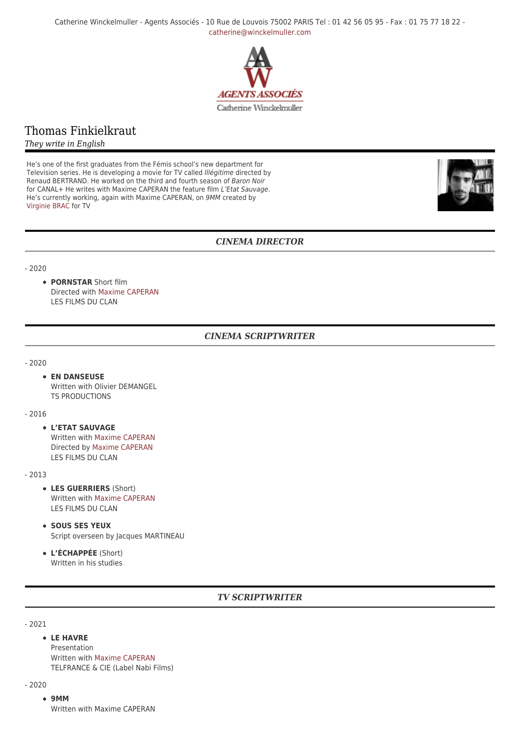Catherine Winckelmuller - Agents Associés - 10 Rue de Louvois 75002 PARIS Tel : 01 42 56 05 95 - Fax : 01 75 77 18 22 [catherine@winckelmuller.com](mailto:catherine@winckelmuller.com)



# Thomas Finkielkraut

*They write in English*

He's one of the first graduates from the Fémis school's new department for Television series. He is developing a movie for TV called Illégitime directed by Renaud BERTRAND. He worked on the third and fourth season of Baron Noir for CANAL+ He writes with Maxime CAPERAN the feature film L'Etat Sauvage. He's currently working, again with Maxime CAPERAN, on 9MM created by [Virginie BRAC](https://www.winckelmuller.com/Brac,162.html) for TV



## *CINEMA DIRECTOR*

- 2020

**PORNSTAR** Short film Directed with [Maxime CAPERAN](https://www.winckelmuller.com/Caperan.html) LES FILMS DU CLAN

## *CINEMA SCRIPTWRITER*

- 2020

### **EN DANSEUSE**

Written with Olivier DEMANGEL TS PRODUCTIONS

#### - 2016

**L'ETAT SAUVAGE** Written with [Maxime CAPERAN](https://www.winckelmuller.com/Caperan.html) Directed by [Maxime CAPERAN](https://www.winckelmuller.com/Caperan.html) LES FILMS DU CLAN

- 2013

- **LES GUERRIERS** (Short) Written with [Maxime CAPERAN](https://www.winckelmuller.com/Caperan.html) LES FILMS DU CLAN
- **SOUS SES YEUX** Script overseen by Jacques MARTINEAU
- **L'ÉCHAPPÉE** (Short) Written in his studies

## *TV SCRIPTWRITER*

- 2021

**LE HAVRE** Presentation Written with [Maxime CAPERAN](https://www.winckelmuller.com/Caperan.html) TELFRANCE & CIE (Label Nabi Films)

#### - 2020

**9MM** Written with Maxime CAPERAN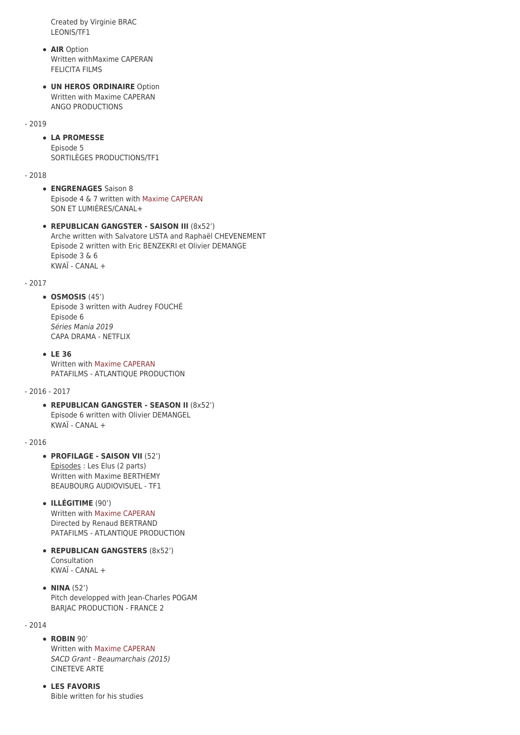Created by Virginie BRAC LEONIS/TF1

- **AIR** Option Written withMaxime CAPERAN FELICITA FILMS
- **UN HEROS ORDINAIRE** Option Written with Maxime CAPERAN ANGO PRODUCTIONS

### - 2019

### **LA PROMESSE** Episode 5 SORTILÈGES PRODUCTIONS/TF1

- 2018

- **ENGRENAGES** Saison 8 Episode 4 & 7 written with [Maxime CAPERAN](https://www.winckelmuller.com/Caperan.html) SON ET LUMIÈRES/CANAL+
- **REPUBLICAN GANGSTER SAISON III** (8x52') Arche written with Salvatore LISTA and Raphaël CHEVENEMENT Episode 2 written with Eric BENZEKRI et Olivier DEMANGE Episode 3 & 6  $KWA$ <sup>T</sup> - CANAL +

#### - 2017

**OSMOSIS** (45') Episode 3 written with Audrey FOUCHÉ Episode 6 Séries Mania 2019 CAPA DRAMA - NETFLIX

**LE 36** Written with [Maxime CAPERAN](https://www.winckelmuller.com/Caperan.html) PATAFILMS - ATLANTIQUE PRODUCTION

### - 2016 - 2017

**REPUBLICAN GANGSTER - SEASON II** (8x52') Episode 6 written with Olivier DEMANGEL KWAÏ - CANAL +

### $-2016$

- **PROFILAGE SAISON VII** (52') Episodes : Les Elus (2 parts) Written with Maxime BERTHEMY BEAUBOURG AUDIOVISUEL - TF1
- **ILLÉGITIME** (90') Written with [Maxime CAPERAN](https://www.winckelmuller.com/Caperan.html) Directed by Renaud BERTRAND PATAFILMS - ATLANTIQUE PRODUCTION
- **REPUBLICAN GANGSTERS** (8x52') Consultation KWAÏ - CANAL +
- **NINA** (52') Pitch developped with Jean-Charles POGAM BARJAC PRODUCTION - FRANCE 2

### - 2014

**ROBIN** 90'

Written with [Maxime CAPERAN](https://www.winckelmuller.com/Caperan.html) SACD Grant - Beaumarchais (2015) CINETEVE ARTE

**LES FAVORIS** Bible written for his studies